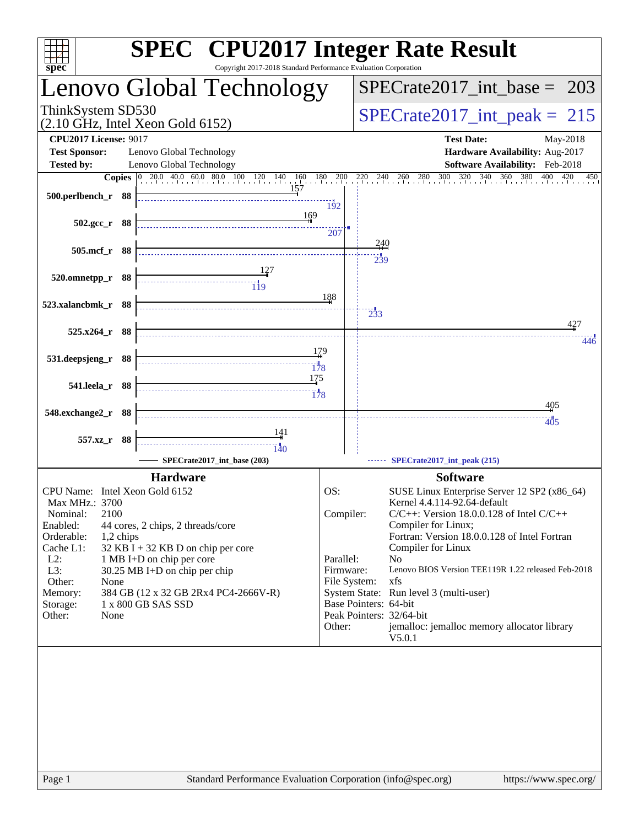| spec <sup>®</sup>                                                                                 | <b>SPEC<sup>®</sup></b> CPU2017 Integer Rate Result<br>Copyright 2017-2018 Standard Performance Evaluation Corporation                                                                                   |
|---------------------------------------------------------------------------------------------------|----------------------------------------------------------------------------------------------------------------------------------------------------------------------------------------------------------|
| Lenovo Global Technology                                                                          | $SPECrate2017\_int\_base = 203$                                                                                                                                                                          |
| ThinkSystem SD530<br>$(2.10 \text{ GHz}, \text{Intel Xeon Gold } 6152)$                           | $SPECrate2017\_int\_peak = 215$                                                                                                                                                                          |
| <b>CPU2017 License: 9017</b>                                                                      | <b>Test Date:</b><br>May-2018                                                                                                                                                                            |
| <b>Test Sponsor:</b><br>Lenovo Global Technology<br>Lenovo Global Technology<br><b>Tested by:</b> | Hardware Availability: Aug-2017<br>Software Availability: Feb-2018                                                                                                                                       |
| <b>Copies</b> 0 20.0 40.0 60.0 80.0 100 120 140 160 180<br>157                                    | 200<br>$\frac{220}{11}$ $\frac{240}{11}$ $\frac{260}{11}$ $\frac{280}{11}$ $\frac{300}{11}$ $\frac{320}{11}$ $\frac{340}{11}$ $\frac{360}{11}$ $\frac{380}{11}$ $\frac{400}{11}$ $\frac{420}{11}$<br>450 |
| 500.perlbench_r 88                                                                                | 192                                                                                                                                                                                                      |
| 169<br>502.gcc_r 88                                                                               |                                                                                                                                                                                                          |
| 505.mcf_r 88                                                                                      | 207<br>240                                                                                                                                                                                               |
|                                                                                                   | 239                                                                                                                                                                                                      |
| 520.omnetpp_r 88                                                                                  |                                                                                                                                                                                                          |
| 523.xalancbmk_r 88                                                                                | 188                                                                                                                                                                                                      |
| 525.x264_r 88                                                                                     | 233<br>427                                                                                                                                                                                               |
|                                                                                                   | $44\ddot{}$<br>179                                                                                                                                                                                       |
| 531.deepsjeng_r 88<br>$\frac{1}{178}$                                                             |                                                                                                                                                                                                          |
| 175<br>541.leela_r 88                                                                             |                                                                                                                                                                                                          |
|                                                                                                   | 178<br>405                                                                                                                                                                                               |
| 548.exchange2_r 88                                                                                | 405                                                                                                                                                                                                      |
| <u>14</u> 1<br>557.xz_r 88<br>$\frac{11}{140}$                                                    |                                                                                                                                                                                                          |
| SPECrate2017 int base (203)                                                                       | SPECrate2017_int_peak (215)                                                                                                                                                                              |
| <b>Hardware</b><br>CPU Name: Intel Xeon Gold 6152                                                 | <b>Software</b><br>OS:<br>SUSE Linux Enterprise Server 12 SP2 (x86_64)                                                                                                                                   |
| Max MHz.: 3700<br>2100                                                                            | Kernel 4.4.114-92.64-default<br>$C/C++$ : Version 18.0.0.128 of Intel $C/C++$                                                                                                                            |
| Nominal:<br>Enabled:<br>44 cores, 2 chips, 2 threads/core                                         | Compiler:<br>Compiler for Linux;                                                                                                                                                                         |
| Orderable:<br>1,2 chips<br>Cache L1:<br>$32$ KB I + 32 KB D on chip per core                      | Fortran: Version 18.0.0.128 of Intel Fortran<br>Compiler for Linux                                                                                                                                       |
| $L2$ :<br>1 MB I+D on chip per core<br>L3:<br>30.25 MB I+D on chip per chip                       | Parallel:<br>N <sub>o</sub><br>Lenovo BIOS Version TEE119R 1.22 released Feb-2018<br>Firmware:                                                                                                           |
| Other:<br>None<br>Memory:<br>384 GB (12 x 32 GB 2Rx4 PC4-2666V-R)                                 | File System:<br>xfs<br>System State: Run level 3 (multi-user)                                                                                                                                            |
| 1 x 800 GB SAS SSD<br>Storage:                                                                    | Base Pointers: 64-bit                                                                                                                                                                                    |
| Other:<br>None                                                                                    | Peak Pointers: 32/64-bit<br>Other:<br>jemalloc: jemalloc memory allocator library<br>V5.0.1                                                                                                              |
|                                                                                                   |                                                                                                                                                                                                          |
|                                                                                                   |                                                                                                                                                                                                          |
|                                                                                                   |                                                                                                                                                                                                          |
|                                                                                                   |                                                                                                                                                                                                          |
|                                                                                                   |                                                                                                                                                                                                          |
|                                                                                                   |                                                                                                                                                                                                          |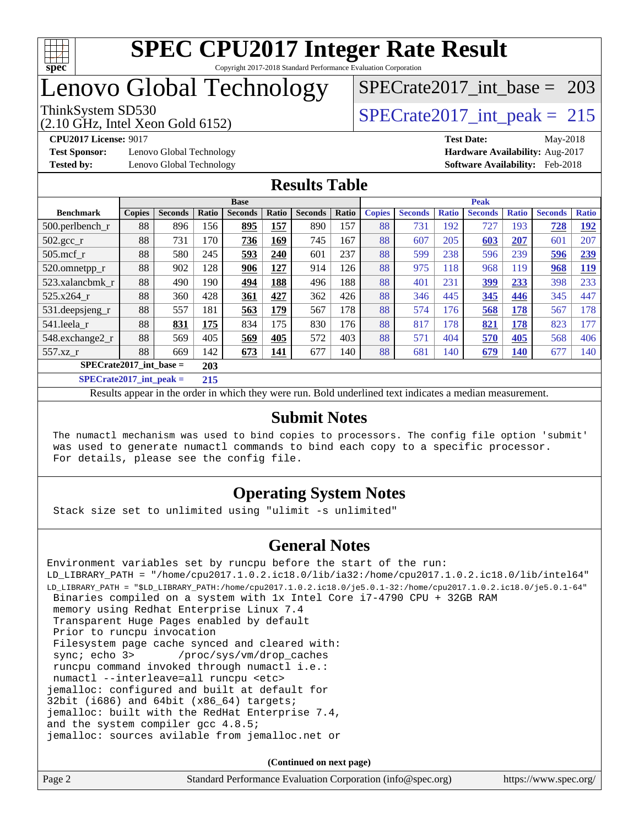

## Lenovo Global Technology

# [SPECrate2017\\_int\\_base =](http://www.spec.org/auto/cpu2017/Docs/result-fields.html#SPECrate2017intbase) 203

(2.10 GHz, Intel Xeon Gold 6152) ThinkSystem SD530  $SPECrate2017\_int\_peak = 215$ 

**[Test Sponsor:](http://www.spec.org/auto/cpu2017/Docs/result-fields.html#TestSponsor)** Lenovo Global Technology **[Hardware Availability:](http://www.spec.org/auto/cpu2017/Docs/result-fields.html#HardwareAvailability)** Aug-2017 **[Tested by:](http://www.spec.org/auto/cpu2017/Docs/result-fields.html#Testedby)** Lenovo Global Technology **[Software Availability:](http://www.spec.org/auto/cpu2017/Docs/result-fields.html#SoftwareAvailability)** Feb-2018

**[CPU2017 License:](http://www.spec.org/auto/cpu2017/Docs/result-fields.html#CPU2017License)** 9017 **[Test Date:](http://www.spec.org/auto/cpu2017/Docs/result-fields.html#TestDate)** May-2018

#### **[Results Table](http://www.spec.org/auto/cpu2017/Docs/result-fields.html#ResultsTable)**

| <b>Base</b>                      |               |                |       | <b>Peak</b>    |       |                |       |               |                |              |                |              |                |              |
|----------------------------------|---------------|----------------|-------|----------------|-------|----------------|-------|---------------|----------------|--------------|----------------|--------------|----------------|--------------|
| <b>Benchmark</b>                 | <b>Copies</b> | <b>Seconds</b> | Ratio | <b>Seconds</b> | Ratio | <b>Seconds</b> | Ratio | <b>Copies</b> | <b>Seconds</b> | <b>Ratio</b> | <b>Seconds</b> | <b>Ratio</b> | <b>Seconds</b> | <b>Ratio</b> |
| $500.$ perlbench_r               | 88            | 896            | 156   | 895            | 157   | 890            | 157   | 88            | 731            | 192          | 727            | 193          | 728            | 192          |
| 502.gcc_r                        | 88            | 731            | 170   | 736            | 169   | 745            | 167   | 88            | 607            | 205          | 603            | 207          | 601            | 207          |
| $505$ .mcf r                     | 88            | 580            | 245   | 593            | 240   | 601            | 237   | 88            | 599            | 238          | 596            | 239          | 596            | 239          |
| 520.omnetpp_r                    | 88            | 902            | 128   | 906            | 127   | 914            | 126   | 88            | 975            | 118          | 968            | 119          | 968            | <b>119</b>   |
| 523.xalancbmk_r                  | 88            | 490            | 190   | 494            | 188   | 496            | 188   | 88            | 401            | 231          | <u>399</u>     | 233          | 398            | 233          |
| 525.x264 r                       | 88            | 360            | 428   | 361            | 427   | 362            | 426   | 88            | 346            | 445          | 345            | 446          | 345            | 447          |
| 531.deepsjeng_r                  | 88            | 557            | 181   | 563            | 179   | 567            | 178   | 88            | 574            | 176          | 568            | 178          | 567            | 178          |
| 541.leela r                      | 88            | 831            | 175   | 834            | 175   | 830            | 176   | 88            | 817            | 178          | 821            | 178          | 823            | 177          |
| 548.exchange2_r                  | 88            | 569            | 405   | 569            | 405   | 572            | 403   | 88            | 571            | 404          | 570            | 405          | 568            | 406          |
| 557.xz r                         | 88            | 669            | 142   | 673            | 141   | 677            | 140   | 88            | 681            | 140          | 679            | 140          | 677            | 140          |
| $SPECrate2017$ int base =<br>203 |               |                |       |                |       |                |       |               |                |              |                |              |                |              |
| $CDFCsoft2017 int model =$       |               |                | 215   |                |       |                |       |               |                |              |                |              |                |              |

**[SPECrate2017\\_int\\_peak =](http://www.spec.org/auto/cpu2017/Docs/result-fields.html#SPECrate2017intpeak) 215**

Results appear in the [order in which they were run](http://www.spec.org/auto/cpu2017/Docs/result-fields.html#RunOrder). Bold underlined text [indicates a median measurement](http://www.spec.org/auto/cpu2017/Docs/result-fields.html#Median).

#### **[Submit Notes](http://www.spec.org/auto/cpu2017/Docs/result-fields.html#SubmitNotes)**

 The numactl mechanism was used to bind copies to processors. The config file option 'submit' was used to generate numactl commands to bind each copy to a specific processor. For details, please see the config file.

#### **[Operating System Notes](http://www.spec.org/auto/cpu2017/Docs/result-fields.html#OperatingSystemNotes)**

Stack size set to unlimited using "ulimit -s unlimited"

#### **[General Notes](http://www.spec.org/auto/cpu2017/Docs/result-fields.html#GeneralNotes)**

Environment variables set by runcpu before the start of the run: LD\_LIBRARY\_PATH = "/home/cpu2017.1.0.2.ic18.0/lib/ia32:/home/cpu2017.1.0.2.ic18.0/lib/intel64" LD\_LIBRARY\_PATH = "\$LD\_LIBRARY\_PATH:/home/cpu2017.1.0.2.ic18.0/je5.0.1-32:/home/cpu2017.1.0.2.ic18.0/je5.0.1-64" Binaries compiled on a system with 1x Intel Core i7-4790 CPU + 32GB RAM memory using Redhat Enterprise Linux 7.4 Transparent Huge Pages enabled by default Prior to runcpu invocation Filesystem page cache synced and cleared with: sync; echo 3> /proc/sys/vm/drop\_caches runcpu command invoked through numactl i.e.: numactl --interleave=all runcpu <etc> jemalloc: configured and built at default for 32bit (i686) and 64bit (x86\_64) targets; jemalloc: built with the RedHat Enterprise 7.4, and the system compiler gcc 4.8.5; jemalloc: sources avilable from jemalloc.net or

**(Continued on next page)**

| Page 2<br>Standard Performance Evaluation Corporation (info@spec.org)<br>https://www.spec.org/ |
|------------------------------------------------------------------------------------------------|
|------------------------------------------------------------------------------------------------|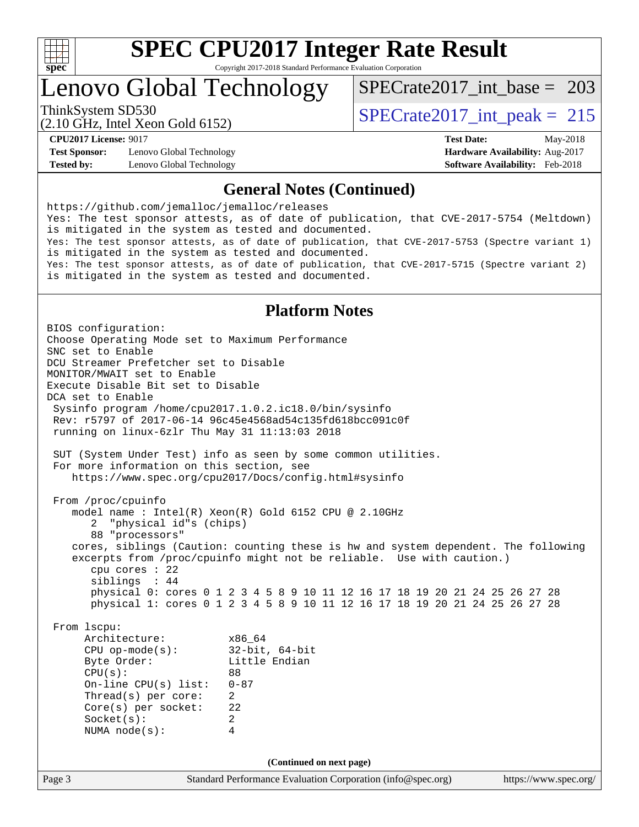

# **[SPEC CPU2017 Integer Rate Result](http://www.spec.org/auto/cpu2017/Docs/result-fields.html#SPECCPU2017IntegerRateResult)**

Copyright 2017-2018 Standard Performance Evaluation Corporation

## Lenovo Global Technology

[SPECrate2017\\_int\\_base =](http://www.spec.org/auto/cpu2017/Docs/result-fields.html#SPECrate2017intbase) 203

(2.10 GHz, Intel Xeon Gold 6152) ThinkSystem SD530  $SPECrate2017\_int\_peak = 215$ 

**[Test Sponsor:](http://www.spec.org/auto/cpu2017/Docs/result-fields.html#TestSponsor)** Lenovo Global Technology **[Hardware Availability:](http://www.spec.org/auto/cpu2017/Docs/result-fields.html#HardwareAvailability)** Aug-2017 **[Tested by:](http://www.spec.org/auto/cpu2017/Docs/result-fields.html#Testedby)** Lenovo Global Technology **[Software Availability:](http://www.spec.org/auto/cpu2017/Docs/result-fields.html#SoftwareAvailability)** Feb-2018

**[CPU2017 License:](http://www.spec.org/auto/cpu2017/Docs/result-fields.html#CPU2017License)** 9017 **[Test Date:](http://www.spec.org/auto/cpu2017/Docs/result-fields.html#TestDate)** May-2018

#### **[General Notes \(Continued\)](http://www.spec.org/auto/cpu2017/Docs/result-fields.html#GeneralNotes)**

<https://github.com/jemalloc/jemalloc/releases> Yes: The test sponsor attests, as of date of publication, that CVE-2017-5754 (Meltdown) is mitigated in the system as tested and documented. Yes: The test sponsor attests, as of date of publication, that CVE-2017-5753 (Spectre variant 1) is mitigated in the system as tested and documented. Yes: The test sponsor attests, as of date of publication, that CVE-2017-5715 (Spectre variant 2) is mitigated in the system as tested and documented.

#### **[Platform Notes](http://www.spec.org/auto/cpu2017/Docs/result-fields.html#PlatformNotes)**

Page 3 Standard Performance Evaluation Corporation [\(info@spec.org\)](mailto:info@spec.org) <https://www.spec.org/> BIOS configuration: Choose Operating Mode set to Maximum Performance SNC set to Enable DCU Streamer Prefetcher set to Disable MONITOR/MWAIT set to Enable Execute Disable Bit set to Disable DCA set to Enable Sysinfo program /home/cpu2017.1.0.2.ic18.0/bin/sysinfo Rev: r5797 of 2017-06-14 96c45e4568ad54c135fd618bcc091c0f running on linux-6zlr Thu May 31 11:13:03 2018 SUT (System Under Test) info as seen by some common utilities. For more information on this section, see <https://www.spec.org/cpu2017/Docs/config.html#sysinfo> From /proc/cpuinfo model name : Intel(R) Xeon(R) Gold 6152 CPU @ 2.10GHz 2 "physical id"s (chips) 88 "processors" cores, siblings (Caution: counting these is hw and system dependent. The following excerpts from /proc/cpuinfo might not be reliable. Use with caution.) cpu cores : 22 siblings : 44 physical 0: cores 0 1 2 3 4 5 8 9 10 11 12 16 17 18 19 20 21 24 25 26 27 28 physical 1: cores 0 1 2 3 4 5 8 9 10 11 12 16 17 18 19 20 21 24 25 26 27 28 From lscpu: Architecture: x86\_64<br>
CPU op-mode(s): 32-bit, 64-bit CPU op-mode(s):<br>Byte Order: Little Endian CPU(s): 88 On-line CPU(s) list: 0-87 Thread(s) per core: 2 Core(s) per socket: 22 Socket(s): 2 NUMA node(s): 4 **(Continued on next page)**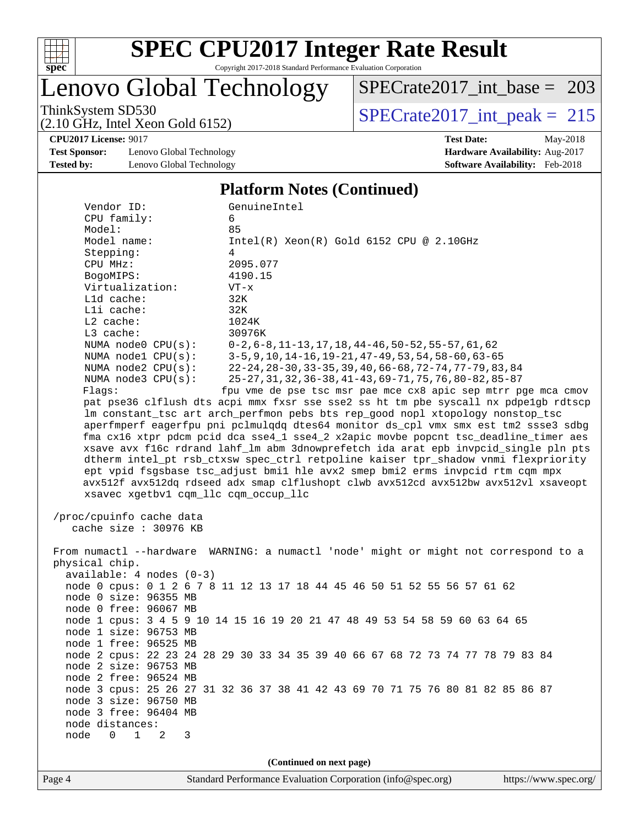

## Lenovo Global Technology

[SPECrate2017\\_int\\_base =](http://www.spec.org/auto/cpu2017/Docs/result-fields.html#SPECrate2017intbase) 203

(2.10 GHz, Intel Xeon Gold 6152)

ThinkSystem SD530<br>  $(2.10 \text{ GHz})$  Intel Xeon Gold 6152)

**[CPU2017 License:](http://www.spec.org/auto/cpu2017/Docs/result-fields.html#CPU2017License)** 9017 **[Test Date:](http://www.spec.org/auto/cpu2017/Docs/result-fields.html#TestDate)** May-2018

**[Test Sponsor:](http://www.spec.org/auto/cpu2017/Docs/result-fields.html#TestSponsor)** Lenovo Global Technology **[Hardware Availability:](http://www.spec.org/auto/cpu2017/Docs/result-fields.html#HardwareAvailability)** Aug-2017 **[Tested by:](http://www.spec.org/auto/cpu2017/Docs/result-fields.html#Testedby)** Lenovo Global Technology **[Software Availability:](http://www.spec.org/auto/cpu2017/Docs/result-fields.html#SoftwareAvailability)** Feb-2018

#### [Platform Notes \(Continued\)](http://www.spec.org/auto/cpu2017/Docs/result-fields.html#PlatformNotes)

| I lation in trotes (Communeu)                                                       |                                                                                      |  |  |  |  |  |  |  |
|-------------------------------------------------------------------------------------|--------------------------------------------------------------------------------------|--|--|--|--|--|--|--|
| Vendor ID:                                                                          | GenuineIntel                                                                         |  |  |  |  |  |  |  |
| CPU family:                                                                         | 6                                                                                    |  |  |  |  |  |  |  |
| Model:                                                                              | 85                                                                                   |  |  |  |  |  |  |  |
| Model name:                                                                         | $Intel(R) Xeon(R) Gold 6152 CPU @ 2.10GHz$                                           |  |  |  |  |  |  |  |
| Stepping:                                                                           | 4                                                                                    |  |  |  |  |  |  |  |
| CPU MHz:                                                                            | 2095.077                                                                             |  |  |  |  |  |  |  |
| BogoMIPS:                                                                           | 4190.15                                                                              |  |  |  |  |  |  |  |
| Virtualization:                                                                     | $VT - x$                                                                             |  |  |  |  |  |  |  |
| Lld cache:                                                                          | 32K                                                                                  |  |  |  |  |  |  |  |
| Lli cache:                                                                          | 32K                                                                                  |  |  |  |  |  |  |  |
| $L2$ cache:                                                                         | 1024K                                                                                |  |  |  |  |  |  |  |
|                                                                                     |                                                                                      |  |  |  |  |  |  |  |
| L3 cache:                                                                           | 30976K                                                                               |  |  |  |  |  |  |  |
| NUMA node0 CPU(s):                                                                  | $0-2, 6-8, 11-13, 17, 18, 44-46, 50-52, 55-57, 61, 62$                               |  |  |  |  |  |  |  |
| NUMA nodel $CPU(s):$                                                                | $3-5, 9, 10, 14-16, 19-21, 47-49, 53, 54, 58-60, 63-65$                              |  |  |  |  |  |  |  |
| NUMA node2 CPU(s):                                                                  | $22 - 24, 28 - 30, 33 - 35, 39, 40, 66 - 68, 72 - 74, 77 - 79, 83, 84$               |  |  |  |  |  |  |  |
|                                                                                     | NUMA $node3$ $CPU(s):$<br>25-27, 31, 32, 36-38, 41-43, 69-71, 75, 76, 80-82, 85-87   |  |  |  |  |  |  |  |
| Flags:<br>fpu vme de pse tsc msr pae mce cx8 apic sep mtrr pge mca cmov             |                                                                                      |  |  |  |  |  |  |  |
| pat pse36 clflush dts acpi mmx fxsr sse sse2 ss ht tm pbe syscall nx pdpe1gb rdtscp |                                                                                      |  |  |  |  |  |  |  |
|                                                                                     | lm constant_tsc art arch_perfmon pebs bts rep_good nopl xtopology nonstop_tsc        |  |  |  |  |  |  |  |
|                                                                                     | aperfmperf eagerfpu pni pclmulqdq dtes64 monitor ds_cpl vmx smx est tm2 ssse3 sdbg   |  |  |  |  |  |  |  |
|                                                                                     | fma cx16 xtpr pdcm pcid dca sse4_1 sse4_2 x2apic movbe popcnt tsc_deadline_timer aes |  |  |  |  |  |  |  |
|                                                                                     | xsave avx f16c rdrand lahf_lm abm 3dnowprefetch ida arat epb invpcid_single pln pts  |  |  |  |  |  |  |  |
|                                                                                     | dtherm intel_pt rsb_ctxsw spec_ctrl retpoline kaiser tpr_shadow vnmi flexpriority    |  |  |  |  |  |  |  |
|                                                                                     | ept vpid fsgsbase tsc_adjust bmil hle avx2 smep bmi2 erms invpcid rtm cqm mpx        |  |  |  |  |  |  |  |
|                                                                                     | avx512f avx512dq rdseed adx smap clflushopt clwb avx512cd avx512bw avx512vl xsaveopt |  |  |  |  |  |  |  |
| xsavec xgetbvl cqm_llc cqm_occup_llc                                                |                                                                                      |  |  |  |  |  |  |  |
|                                                                                     |                                                                                      |  |  |  |  |  |  |  |
| /proc/cpuinfo cache data                                                            |                                                                                      |  |  |  |  |  |  |  |
| cache size : 30976 KB                                                               |                                                                                      |  |  |  |  |  |  |  |
|                                                                                     |                                                                                      |  |  |  |  |  |  |  |
|                                                                                     | From numactl --hardware WARNING: a numactl 'node' might or might not correspond to a |  |  |  |  |  |  |  |
| physical chip.                                                                      |                                                                                      |  |  |  |  |  |  |  |
| $available: 4 nodes (0-3)$                                                          |                                                                                      |  |  |  |  |  |  |  |
|                                                                                     | node 0 cpus: 0 1 2 6 7 8 11 12 13 17 18 44 45 46 50 51 52 55 56 57 61 62             |  |  |  |  |  |  |  |
| node 0 size: 96355 MB                                                               |                                                                                      |  |  |  |  |  |  |  |
| node 0 free: 96067 MB                                                               |                                                                                      |  |  |  |  |  |  |  |
|                                                                                     | node 1 cpus: 3 4 5 9 10 14 15 16 19 20 21 47 48 49 53 54 58 59 60 63 64 65           |  |  |  |  |  |  |  |
|                                                                                     |                                                                                      |  |  |  |  |  |  |  |
| node 1 size: 96753 MB                                                               |                                                                                      |  |  |  |  |  |  |  |
| node 1 free: 96525 MB                                                               |                                                                                      |  |  |  |  |  |  |  |
|                                                                                     | node 2 cpus: 22 23 24 28 29 30 33 34 35 39 40 66 67 68 72 73 74 77 78 79 83 84       |  |  |  |  |  |  |  |
| node 2 size: 96753 MB                                                               |                                                                                      |  |  |  |  |  |  |  |
| node 2 free: 96524 MB                                                               |                                                                                      |  |  |  |  |  |  |  |
|                                                                                     | node 3 cpus: 25 26 27 31 32 36 37 38 41 42 43 69 70 71 75 76 80 81 82 85 86 87       |  |  |  |  |  |  |  |
| node 3 size: 96750 MB                                                               |                                                                                      |  |  |  |  |  |  |  |
| node 3 free: 96404 MB                                                               |                                                                                      |  |  |  |  |  |  |  |
| node distances:                                                                     |                                                                                      |  |  |  |  |  |  |  |
| node<br>$\mathbf{1}$<br>$\overline{0}$<br>-2<br>3                                   |                                                                                      |  |  |  |  |  |  |  |
|                                                                                     |                                                                                      |  |  |  |  |  |  |  |
| (Continued on next page)                                                            |                                                                                      |  |  |  |  |  |  |  |
|                                                                                     |                                                                                      |  |  |  |  |  |  |  |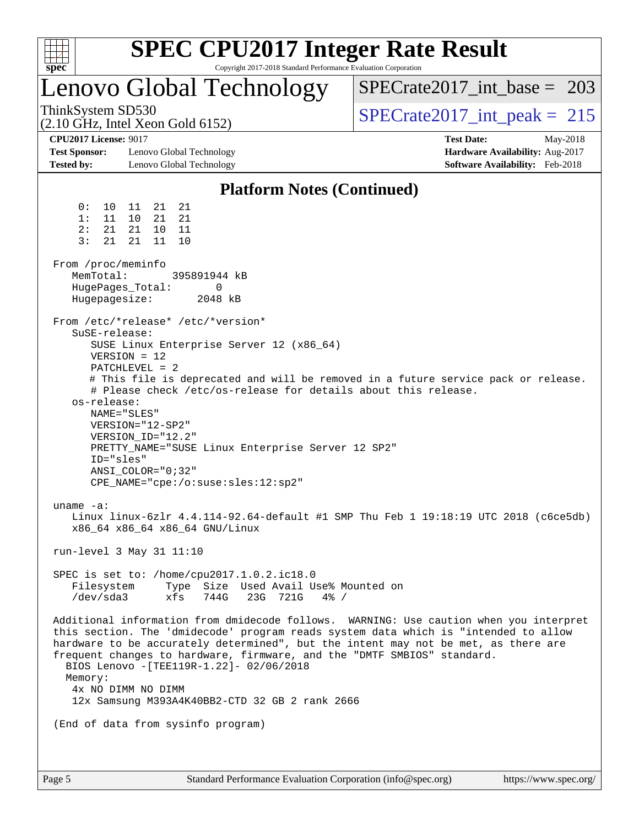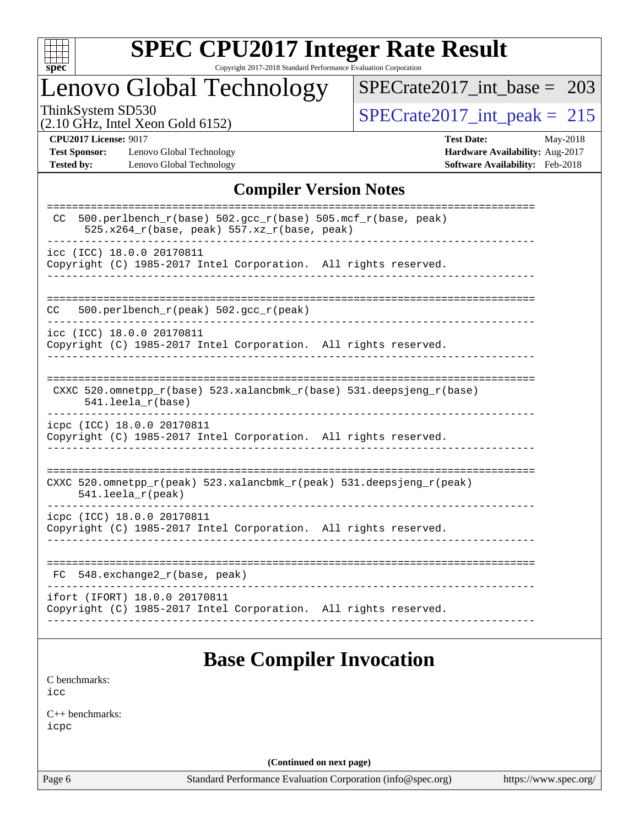

# **[SPEC CPU2017 Integer Rate Result](http://www.spec.org/auto/cpu2017/Docs/result-fields.html#SPECCPU2017IntegerRateResult)**

Copyright 2017-2018 Standard Performance Evaluation Corporation

## Lenovo Global Technology

[SPECrate2017\\_int\\_base =](http://www.spec.org/auto/cpu2017/Docs/result-fields.html#SPECrate2017intbase) 203

(2.10 GHz, Intel Xeon Gold 6152)

ThinkSystem SD530<br>  $(2.10 \text{ GHz})$  Intel Xeon Gold 6152)

**[Test Sponsor:](http://www.spec.org/auto/cpu2017/Docs/result-fields.html#TestSponsor)** Lenovo Global Technology **[Hardware Availability:](http://www.spec.org/auto/cpu2017/Docs/result-fields.html#HardwareAvailability)** Aug-2017 **[Tested by:](http://www.spec.org/auto/cpu2017/Docs/result-fields.html#Testedby)** Lenovo Global Technology **[Software Availability:](http://www.spec.org/auto/cpu2017/Docs/result-fields.html#SoftwareAvailability)** Feb-2018

**[CPU2017 License:](http://www.spec.org/auto/cpu2017/Docs/result-fields.html#CPU2017License)** 9017 **[Test Date:](http://www.spec.org/auto/cpu2017/Docs/result-fields.html#TestDate)** May-2018

#### **[Compiler Version Notes](http://www.spec.org/auto/cpu2017/Docs/result-fields.html#CompilerVersionNotes)**

| 500.perlbench_r(base) 502.gcc_r(base) 505.mcf_r(base, peak)<br>CC.<br>$525.x264_r(base, peak) 557.xz_r(base, peak)$ |
|---------------------------------------------------------------------------------------------------------------------|
| icc (ICC) 18.0.0 20170811<br>Copyright (C) 1985-2017 Intel Corporation. All rights reserved.                        |
| 500.perlbench_r(peak) 502.gcc_r(peak)<br>CC.                                                                        |
| icc (ICC) 18.0.0 20170811<br>Copyright (C) 1985-2017 Intel Corporation. All rights reserved.                        |
| CXXC 520.omnetpp_r(base) 523.xalancbmk_r(base) 531.deepsjeng_r(base)<br>$541.$ leela_r(base)                        |
| icpc (ICC) 18.0.0 20170811<br>Copyright (C) 1985-2017 Intel Corporation. All rights reserved.                       |
| CXXC 520.omnetpp_r(peak) 523.xalancbmk_r(peak) 531.deepsjeng_r(peak)<br>$541.$ leela_r(peak)                        |
| icpc (ICC) 18.0.0 20170811<br>Copyright (C) 1985-2017 Intel Corporation. All rights reserved.                       |
| 548.exchange2_r(base, peak)<br>FC.                                                                                  |
| ifort (IFORT) 18.0.0 20170811<br>Copyright (C) 1985-2017 Intel Corporation. All rights reserved.                    |

## **[Base Compiler Invocation](http://www.spec.org/auto/cpu2017/Docs/result-fields.html#BaseCompilerInvocation)**

[C benchmarks](http://www.spec.org/auto/cpu2017/Docs/result-fields.html#Cbenchmarks): [icc](http://www.spec.org/cpu2017/results/res2018q2/cpu2017-20180612-07034.flags.html#user_CCbase_intel_icc_18.0_66fc1ee009f7361af1fbd72ca7dcefbb700085f36577c54f309893dd4ec40d12360134090235512931783d35fd58c0460139e722d5067c5574d8eaf2b3e37e92)

[C++ benchmarks:](http://www.spec.org/auto/cpu2017/Docs/result-fields.html#CXXbenchmarks) [icpc](http://www.spec.org/cpu2017/results/res2018q2/cpu2017-20180612-07034.flags.html#user_CXXbase_intel_icpc_18.0_c510b6838c7f56d33e37e94d029a35b4a7bccf4766a728ee175e80a419847e808290a9b78be685c44ab727ea267ec2f070ec5dc83b407c0218cded6866a35d07)

**(Continued on next page)**

Page 6 Standard Performance Evaluation Corporation [\(info@spec.org\)](mailto:info@spec.org) <https://www.spec.org/>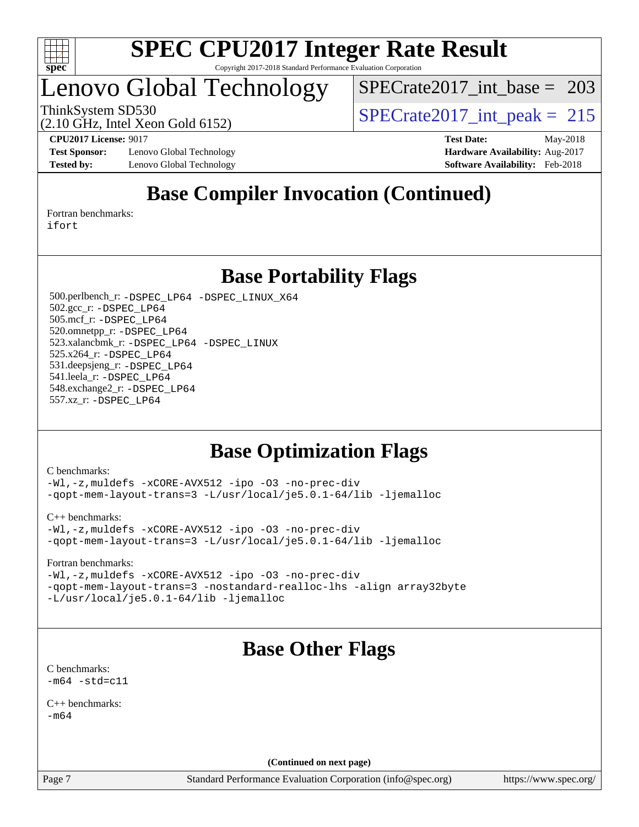

## Lenovo Global Technology

[SPECrate2017\\_int\\_base =](http://www.spec.org/auto/cpu2017/Docs/result-fields.html#SPECrate2017intbase) 203

(2.10 GHz, Intel Xeon Gold 6152)

ThinkSystem SD530<br>  $\binom{210 \text{ CH}_7 \text{ Intel Year} \text{ Total } 6152}$  [SPECrate2017\\_int\\_peak =](http://www.spec.org/auto/cpu2017/Docs/result-fields.html#SPECrate2017intpeak) 215

**[Test Sponsor:](http://www.spec.org/auto/cpu2017/Docs/result-fields.html#TestSponsor)** Lenovo Global Technology **[Hardware Availability:](http://www.spec.org/auto/cpu2017/Docs/result-fields.html#HardwareAvailability)** Aug-2017 **[Tested by:](http://www.spec.org/auto/cpu2017/Docs/result-fields.html#Testedby)** Lenovo Global Technology **[Software Availability:](http://www.spec.org/auto/cpu2017/Docs/result-fields.html#SoftwareAvailability)** Feb-2018

**[CPU2017 License:](http://www.spec.org/auto/cpu2017/Docs/result-fields.html#CPU2017License)** 9017 **[Test Date:](http://www.spec.org/auto/cpu2017/Docs/result-fields.html#TestDate)** May-2018

## **[Base Compiler Invocation \(Continued\)](http://www.spec.org/auto/cpu2017/Docs/result-fields.html#BaseCompilerInvocation)**

[Fortran benchmarks](http://www.spec.org/auto/cpu2017/Docs/result-fields.html#Fortranbenchmarks): [ifort](http://www.spec.org/cpu2017/results/res2018q2/cpu2017-20180612-07034.flags.html#user_FCbase_intel_ifort_18.0_8111460550e3ca792625aed983ce982f94888b8b503583aa7ba2b8303487b4d8a21a13e7191a45c5fd58ff318f48f9492884d4413fa793fd88dd292cad7027ca)

**[Base Portability Flags](http://www.spec.org/auto/cpu2017/Docs/result-fields.html#BasePortabilityFlags)**

 500.perlbench\_r: [-DSPEC\\_LP64](http://www.spec.org/cpu2017/results/res2018q2/cpu2017-20180612-07034.flags.html#b500.perlbench_r_basePORTABILITY_DSPEC_LP64) [-DSPEC\\_LINUX\\_X64](http://www.spec.org/cpu2017/results/res2018q2/cpu2017-20180612-07034.flags.html#b500.perlbench_r_baseCPORTABILITY_DSPEC_LINUX_X64) 502.gcc\_r: [-DSPEC\\_LP64](http://www.spec.org/cpu2017/results/res2018q2/cpu2017-20180612-07034.flags.html#suite_basePORTABILITY502_gcc_r_DSPEC_LP64) 505.mcf\_r: [-DSPEC\\_LP64](http://www.spec.org/cpu2017/results/res2018q2/cpu2017-20180612-07034.flags.html#suite_basePORTABILITY505_mcf_r_DSPEC_LP64) 520.omnetpp\_r: [-DSPEC\\_LP64](http://www.spec.org/cpu2017/results/res2018q2/cpu2017-20180612-07034.flags.html#suite_basePORTABILITY520_omnetpp_r_DSPEC_LP64) 523.xalancbmk\_r: [-DSPEC\\_LP64](http://www.spec.org/cpu2017/results/res2018q2/cpu2017-20180612-07034.flags.html#suite_basePORTABILITY523_xalancbmk_r_DSPEC_LP64) [-DSPEC\\_LINUX](http://www.spec.org/cpu2017/results/res2018q2/cpu2017-20180612-07034.flags.html#b523.xalancbmk_r_baseCXXPORTABILITY_DSPEC_LINUX) 525.x264\_r: [-DSPEC\\_LP64](http://www.spec.org/cpu2017/results/res2018q2/cpu2017-20180612-07034.flags.html#suite_basePORTABILITY525_x264_r_DSPEC_LP64) 531.deepsjeng\_r: [-DSPEC\\_LP64](http://www.spec.org/cpu2017/results/res2018q2/cpu2017-20180612-07034.flags.html#suite_basePORTABILITY531_deepsjeng_r_DSPEC_LP64) 541.leela\_r: [-DSPEC\\_LP64](http://www.spec.org/cpu2017/results/res2018q2/cpu2017-20180612-07034.flags.html#suite_basePORTABILITY541_leela_r_DSPEC_LP64) 548.exchange2\_r: [-DSPEC\\_LP64](http://www.spec.org/cpu2017/results/res2018q2/cpu2017-20180612-07034.flags.html#suite_basePORTABILITY548_exchange2_r_DSPEC_LP64) 557.xz\_r: [-DSPEC\\_LP64](http://www.spec.org/cpu2017/results/res2018q2/cpu2017-20180612-07034.flags.html#suite_basePORTABILITY557_xz_r_DSPEC_LP64)

## **[Base Optimization Flags](http://www.spec.org/auto/cpu2017/Docs/result-fields.html#BaseOptimizationFlags)**

[C benchmarks](http://www.spec.org/auto/cpu2017/Docs/result-fields.html#Cbenchmarks):

[-Wl,-z,muldefs](http://www.spec.org/cpu2017/results/res2018q2/cpu2017-20180612-07034.flags.html#user_CCbase_link_force_multiple1_b4cbdb97b34bdee9ceefcfe54f4c8ea74255f0b02a4b23e853cdb0e18eb4525ac79b5a88067c842dd0ee6996c24547a27a4b99331201badda8798ef8a743f577) [-xCORE-AVX512](http://www.spec.org/cpu2017/results/res2018q2/cpu2017-20180612-07034.flags.html#user_CCbase_f-xCORE-AVX512) [-ipo](http://www.spec.org/cpu2017/results/res2018q2/cpu2017-20180612-07034.flags.html#user_CCbase_f-ipo) [-O3](http://www.spec.org/cpu2017/results/res2018q2/cpu2017-20180612-07034.flags.html#user_CCbase_f-O3) [-no-prec-div](http://www.spec.org/cpu2017/results/res2018q2/cpu2017-20180612-07034.flags.html#user_CCbase_f-no-prec-div) [-qopt-mem-layout-trans=3](http://www.spec.org/cpu2017/results/res2018q2/cpu2017-20180612-07034.flags.html#user_CCbase_f-qopt-mem-layout-trans_de80db37974c74b1f0e20d883f0b675c88c3b01e9d123adea9b28688d64333345fb62bc4a798493513fdb68f60282f9a726aa07f478b2f7113531aecce732043) [-L/usr/local/je5.0.1-64/lib](http://www.spec.org/cpu2017/results/res2018q2/cpu2017-20180612-07034.flags.html#user_CCbase_jemalloc_link_path64_4b10a636b7bce113509b17f3bd0d6226c5fb2346b9178c2d0232c14f04ab830f976640479e5c33dc2bcbbdad86ecfb6634cbbd4418746f06f368b512fced5394) [-ljemalloc](http://www.spec.org/cpu2017/results/res2018q2/cpu2017-20180612-07034.flags.html#user_CCbase_jemalloc_link_lib_d1249b907c500fa1c0672f44f562e3d0f79738ae9e3c4a9c376d49f265a04b9c99b167ecedbf6711b3085be911c67ff61f150a17b3472be731631ba4d0471706)

[C++ benchmarks:](http://www.spec.org/auto/cpu2017/Docs/result-fields.html#CXXbenchmarks)

[-Wl,-z,muldefs](http://www.spec.org/cpu2017/results/res2018q2/cpu2017-20180612-07034.flags.html#user_CXXbase_link_force_multiple1_b4cbdb97b34bdee9ceefcfe54f4c8ea74255f0b02a4b23e853cdb0e18eb4525ac79b5a88067c842dd0ee6996c24547a27a4b99331201badda8798ef8a743f577) [-xCORE-AVX512](http://www.spec.org/cpu2017/results/res2018q2/cpu2017-20180612-07034.flags.html#user_CXXbase_f-xCORE-AVX512) [-ipo](http://www.spec.org/cpu2017/results/res2018q2/cpu2017-20180612-07034.flags.html#user_CXXbase_f-ipo) [-O3](http://www.spec.org/cpu2017/results/res2018q2/cpu2017-20180612-07034.flags.html#user_CXXbase_f-O3) [-no-prec-div](http://www.spec.org/cpu2017/results/res2018q2/cpu2017-20180612-07034.flags.html#user_CXXbase_f-no-prec-div) [-qopt-mem-layout-trans=3](http://www.spec.org/cpu2017/results/res2018q2/cpu2017-20180612-07034.flags.html#user_CXXbase_f-qopt-mem-layout-trans_de80db37974c74b1f0e20d883f0b675c88c3b01e9d123adea9b28688d64333345fb62bc4a798493513fdb68f60282f9a726aa07f478b2f7113531aecce732043) [-L/usr/local/je5.0.1-64/lib](http://www.spec.org/cpu2017/results/res2018q2/cpu2017-20180612-07034.flags.html#user_CXXbase_jemalloc_link_path64_4b10a636b7bce113509b17f3bd0d6226c5fb2346b9178c2d0232c14f04ab830f976640479e5c33dc2bcbbdad86ecfb6634cbbd4418746f06f368b512fced5394) [-ljemalloc](http://www.spec.org/cpu2017/results/res2018q2/cpu2017-20180612-07034.flags.html#user_CXXbase_jemalloc_link_lib_d1249b907c500fa1c0672f44f562e3d0f79738ae9e3c4a9c376d49f265a04b9c99b167ecedbf6711b3085be911c67ff61f150a17b3472be731631ba4d0471706)

[Fortran benchmarks](http://www.spec.org/auto/cpu2017/Docs/result-fields.html#Fortranbenchmarks):

[-Wl,-z,muldefs](http://www.spec.org/cpu2017/results/res2018q2/cpu2017-20180612-07034.flags.html#user_FCbase_link_force_multiple1_b4cbdb97b34bdee9ceefcfe54f4c8ea74255f0b02a4b23e853cdb0e18eb4525ac79b5a88067c842dd0ee6996c24547a27a4b99331201badda8798ef8a743f577) [-xCORE-AVX512](http://www.spec.org/cpu2017/results/res2018q2/cpu2017-20180612-07034.flags.html#user_FCbase_f-xCORE-AVX512) [-ipo](http://www.spec.org/cpu2017/results/res2018q2/cpu2017-20180612-07034.flags.html#user_FCbase_f-ipo) [-O3](http://www.spec.org/cpu2017/results/res2018q2/cpu2017-20180612-07034.flags.html#user_FCbase_f-O3) [-no-prec-div](http://www.spec.org/cpu2017/results/res2018q2/cpu2017-20180612-07034.flags.html#user_FCbase_f-no-prec-div) [-qopt-mem-layout-trans=3](http://www.spec.org/cpu2017/results/res2018q2/cpu2017-20180612-07034.flags.html#user_FCbase_f-qopt-mem-layout-trans_de80db37974c74b1f0e20d883f0b675c88c3b01e9d123adea9b28688d64333345fb62bc4a798493513fdb68f60282f9a726aa07f478b2f7113531aecce732043) [-nostandard-realloc-lhs](http://www.spec.org/cpu2017/results/res2018q2/cpu2017-20180612-07034.flags.html#user_FCbase_f_2003_std_realloc_82b4557e90729c0f113870c07e44d33d6f5a304b4f63d4c15d2d0f1fab99f5daaed73bdb9275d9ae411527f28b936061aa8b9c8f2d63842963b95c9dd6426b8a) [-align array32byte](http://www.spec.org/cpu2017/results/res2018q2/cpu2017-20180612-07034.flags.html#user_FCbase_align_array32byte_b982fe038af199962ba9a80c053b8342c548c85b40b8e86eb3cc33dee0d7986a4af373ac2d51c3f7cf710a18d62fdce2948f201cd044323541f22fc0fffc51b6) [-L/usr/local/je5.0.1-64/lib](http://www.spec.org/cpu2017/results/res2018q2/cpu2017-20180612-07034.flags.html#user_FCbase_jemalloc_link_path64_4b10a636b7bce113509b17f3bd0d6226c5fb2346b9178c2d0232c14f04ab830f976640479e5c33dc2bcbbdad86ecfb6634cbbd4418746f06f368b512fced5394) [-ljemalloc](http://www.spec.org/cpu2017/results/res2018q2/cpu2017-20180612-07034.flags.html#user_FCbase_jemalloc_link_lib_d1249b907c500fa1c0672f44f562e3d0f79738ae9e3c4a9c376d49f265a04b9c99b167ecedbf6711b3085be911c67ff61f150a17b3472be731631ba4d0471706)

## **[Base Other Flags](http://www.spec.org/auto/cpu2017/Docs/result-fields.html#BaseOtherFlags)**

[C benchmarks](http://www.spec.org/auto/cpu2017/Docs/result-fields.html#Cbenchmarks):  $-m64 - std= c11$  $-m64 - std= c11$ 

[C++ benchmarks:](http://www.spec.org/auto/cpu2017/Docs/result-fields.html#CXXbenchmarks)  $-m64$ 

**(Continued on next page)**

Page 7 Standard Performance Evaluation Corporation [\(info@spec.org\)](mailto:info@spec.org) <https://www.spec.org/>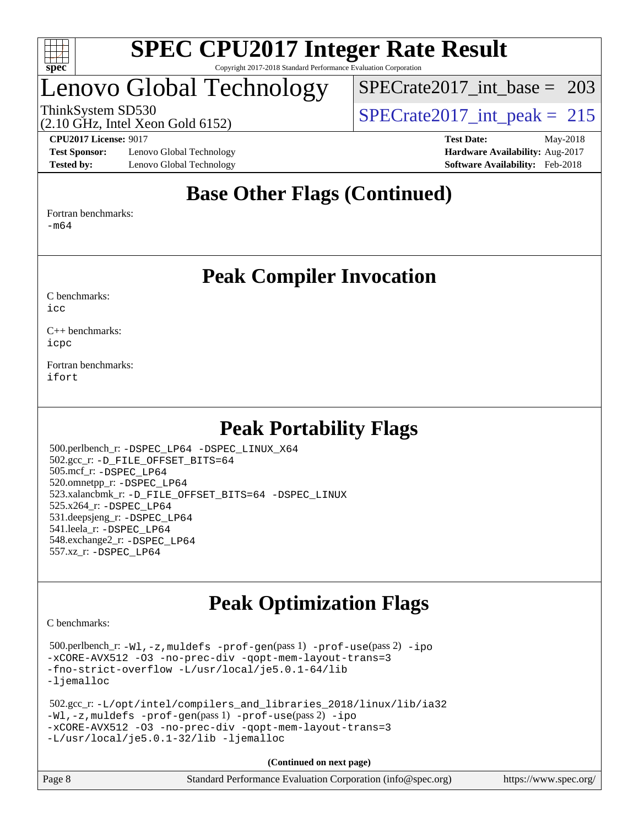

## Lenovo Global Technology

[SPECrate2017\\_int\\_base =](http://www.spec.org/auto/cpu2017/Docs/result-fields.html#SPECrate2017intbase) 203

(2.10 GHz, Intel Xeon Gold 6152)

ThinkSystem SD530  $SPECrate2017\_int\_peak = 215$ 

**[Test Sponsor:](http://www.spec.org/auto/cpu2017/Docs/result-fields.html#TestSponsor)** Lenovo Global Technology **[Hardware Availability:](http://www.spec.org/auto/cpu2017/Docs/result-fields.html#HardwareAvailability)** Aug-2017 **[Tested by:](http://www.spec.org/auto/cpu2017/Docs/result-fields.html#Testedby)** Lenovo Global Technology **[Software Availability:](http://www.spec.org/auto/cpu2017/Docs/result-fields.html#SoftwareAvailability)** Feb-2018

**[CPU2017 License:](http://www.spec.org/auto/cpu2017/Docs/result-fields.html#CPU2017License)** 9017 **[Test Date:](http://www.spec.org/auto/cpu2017/Docs/result-fields.html#TestDate)** May-2018

## **[Base Other Flags \(Continued\)](http://www.spec.org/auto/cpu2017/Docs/result-fields.html#BaseOtherFlags)**

[Fortran benchmarks](http://www.spec.org/auto/cpu2017/Docs/result-fields.html#Fortranbenchmarks):

[-m64](http://www.spec.org/cpu2017/results/res2018q2/cpu2017-20180612-07034.flags.html#user_FCbase_intel_intel64_18.0_af43caccfc8ded86e7699f2159af6efc7655f51387b94da716254467f3c01020a5059329e2569e4053f409e7c9202a7efc638f7a6d1ffb3f52dea4a3e31d82ab)

### **[Peak Compiler Invocation](http://www.spec.org/auto/cpu2017/Docs/result-fields.html#PeakCompilerInvocation)**

[C benchmarks](http://www.spec.org/auto/cpu2017/Docs/result-fields.html#Cbenchmarks):  $i$ cc

[C++ benchmarks:](http://www.spec.org/auto/cpu2017/Docs/result-fields.html#CXXbenchmarks) [icpc](http://www.spec.org/cpu2017/results/res2018q2/cpu2017-20180612-07034.flags.html#user_CXXpeak_intel_icpc_18.0_c510b6838c7f56d33e37e94d029a35b4a7bccf4766a728ee175e80a419847e808290a9b78be685c44ab727ea267ec2f070ec5dc83b407c0218cded6866a35d07)

[Fortran benchmarks](http://www.spec.org/auto/cpu2017/Docs/result-fields.html#Fortranbenchmarks): [ifort](http://www.spec.org/cpu2017/results/res2018q2/cpu2017-20180612-07034.flags.html#user_FCpeak_intel_ifort_18.0_8111460550e3ca792625aed983ce982f94888b8b503583aa7ba2b8303487b4d8a21a13e7191a45c5fd58ff318f48f9492884d4413fa793fd88dd292cad7027ca)

## **[Peak Portability Flags](http://www.spec.org/auto/cpu2017/Docs/result-fields.html#PeakPortabilityFlags)**

 500.perlbench\_r: [-DSPEC\\_LP64](http://www.spec.org/cpu2017/results/res2018q2/cpu2017-20180612-07034.flags.html#b500.perlbench_r_peakPORTABILITY_DSPEC_LP64) [-DSPEC\\_LINUX\\_X64](http://www.spec.org/cpu2017/results/res2018q2/cpu2017-20180612-07034.flags.html#b500.perlbench_r_peakCPORTABILITY_DSPEC_LINUX_X64) 502.gcc\_r: [-D\\_FILE\\_OFFSET\\_BITS=64](http://www.spec.org/cpu2017/results/res2018q2/cpu2017-20180612-07034.flags.html#user_peakPORTABILITY502_gcc_r_file_offset_bits_64_5ae949a99b284ddf4e95728d47cb0843d81b2eb0e18bdfe74bbf0f61d0b064f4bda2f10ea5eb90e1dcab0e84dbc592acfc5018bc955c18609f94ddb8d550002c) 505.mcf\_r: [-DSPEC\\_LP64](http://www.spec.org/cpu2017/results/res2018q2/cpu2017-20180612-07034.flags.html#suite_peakPORTABILITY505_mcf_r_DSPEC_LP64) 520.omnetpp\_r: [-DSPEC\\_LP64](http://www.spec.org/cpu2017/results/res2018q2/cpu2017-20180612-07034.flags.html#suite_peakPORTABILITY520_omnetpp_r_DSPEC_LP64) 523.xalancbmk\_r: [-D\\_FILE\\_OFFSET\\_BITS=64](http://www.spec.org/cpu2017/results/res2018q2/cpu2017-20180612-07034.flags.html#user_peakPORTABILITY523_xalancbmk_r_file_offset_bits_64_5ae949a99b284ddf4e95728d47cb0843d81b2eb0e18bdfe74bbf0f61d0b064f4bda2f10ea5eb90e1dcab0e84dbc592acfc5018bc955c18609f94ddb8d550002c) [-DSPEC\\_LINUX](http://www.spec.org/cpu2017/results/res2018q2/cpu2017-20180612-07034.flags.html#b523.xalancbmk_r_peakCXXPORTABILITY_DSPEC_LINUX) 525.x264\_r: [-DSPEC\\_LP64](http://www.spec.org/cpu2017/results/res2018q2/cpu2017-20180612-07034.flags.html#suite_peakPORTABILITY525_x264_r_DSPEC_LP64) 531.deepsjeng\_r: [-DSPEC\\_LP64](http://www.spec.org/cpu2017/results/res2018q2/cpu2017-20180612-07034.flags.html#suite_peakPORTABILITY531_deepsjeng_r_DSPEC_LP64) 541.leela\_r: [-DSPEC\\_LP64](http://www.spec.org/cpu2017/results/res2018q2/cpu2017-20180612-07034.flags.html#suite_peakPORTABILITY541_leela_r_DSPEC_LP64) 548.exchange2\_r: [-DSPEC\\_LP64](http://www.spec.org/cpu2017/results/res2018q2/cpu2017-20180612-07034.flags.html#suite_peakPORTABILITY548_exchange2_r_DSPEC_LP64) 557.xz\_r: [-DSPEC\\_LP64](http://www.spec.org/cpu2017/results/res2018q2/cpu2017-20180612-07034.flags.html#suite_peakPORTABILITY557_xz_r_DSPEC_LP64)

## **[Peak Optimization Flags](http://www.spec.org/auto/cpu2017/Docs/result-fields.html#PeakOptimizationFlags)**

[C benchmarks](http://www.spec.org/auto/cpu2017/Docs/result-fields.html#Cbenchmarks):

 500.perlbench\_r: [-Wl,-z,muldefs](http://www.spec.org/cpu2017/results/res2018q2/cpu2017-20180612-07034.flags.html#user_peakEXTRA_LDFLAGS500_perlbench_r_link_force_multiple1_b4cbdb97b34bdee9ceefcfe54f4c8ea74255f0b02a4b23e853cdb0e18eb4525ac79b5a88067c842dd0ee6996c24547a27a4b99331201badda8798ef8a743f577) [-prof-gen](http://www.spec.org/cpu2017/results/res2018q2/cpu2017-20180612-07034.flags.html#user_peakPASS1_CFLAGSPASS1_LDFLAGS500_perlbench_r_prof_gen_5aa4926d6013ddb2a31985c654b3eb18169fc0c6952a63635c234f711e6e63dd76e94ad52365559451ec499a2cdb89e4dc58ba4c67ef54ca681ffbe1461d6b36)(pass 1) [-prof-use](http://www.spec.org/cpu2017/results/res2018q2/cpu2017-20180612-07034.flags.html#user_peakPASS2_CFLAGSPASS2_LDFLAGS500_perlbench_r_prof_use_1a21ceae95f36a2b53c25747139a6c16ca95bd9def2a207b4f0849963b97e94f5260e30a0c64f4bb623698870e679ca08317ef8150905d41bd88c6f78df73f19)(pass 2) [-ipo](http://www.spec.org/cpu2017/results/res2018q2/cpu2017-20180612-07034.flags.html#user_peakPASS1_COPTIMIZEPASS2_COPTIMIZE500_perlbench_r_f-ipo) [-xCORE-AVX512](http://www.spec.org/cpu2017/results/res2018q2/cpu2017-20180612-07034.flags.html#user_peakPASS2_COPTIMIZE500_perlbench_r_f-xCORE-AVX512) [-O3](http://www.spec.org/cpu2017/results/res2018q2/cpu2017-20180612-07034.flags.html#user_peakPASS1_COPTIMIZEPASS2_COPTIMIZE500_perlbench_r_f-O3) [-no-prec-div](http://www.spec.org/cpu2017/results/res2018q2/cpu2017-20180612-07034.flags.html#user_peakPASS1_COPTIMIZEPASS2_COPTIMIZE500_perlbench_r_f-no-prec-div) [-qopt-mem-layout-trans=3](http://www.spec.org/cpu2017/results/res2018q2/cpu2017-20180612-07034.flags.html#user_peakPASS1_COPTIMIZEPASS2_COPTIMIZE500_perlbench_r_f-qopt-mem-layout-trans_de80db37974c74b1f0e20d883f0b675c88c3b01e9d123adea9b28688d64333345fb62bc4a798493513fdb68f60282f9a726aa07f478b2f7113531aecce732043) [-fno-strict-overflow](http://www.spec.org/cpu2017/results/res2018q2/cpu2017-20180612-07034.flags.html#user_peakEXTRA_OPTIMIZE500_perlbench_r_f-fno-strict-overflow) [-L/usr/local/je5.0.1-64/lib](http://www.spec.org/cpu2017/results/res2018q2/cpu2017-20180612-07034.flags.html#user_peakEXTRA_LIBS500_perlbench_r_jemalloc_link_path64_4b10a636b7bce113509b17f3bd0d6226c5fb2346b9178c2d0232c14f04ab830f976640479e5c33dc2bcbbdad86ecfb6634cbbd4418746f06f368b512fced5394) [-ljemalloc](http://www.spec.org/cpu2017/results/res2018q2/cpu2017-20180612-07034.flags.html#user_peakEXTRA_LIBS500_perlbench_r_jemalloc_link_lib_d1249b907c500fa1c0672f44f562e3d0f79738ae9e3c4a9c376d49f265a04b9c99b167ecedbf6711b3085be911c67ff61f150a17b3472be731631ba4d0471706)

```
 502.gcc_r: -L/opt/intel/compilers_and_libraries_2018/linux/lib/ia32
-Wl,-z,muldefs -prof-gen(pass 1) -prof-use(pass 2) -ipo
-xCORE-AVX512 -O3 -no-prec-div -qopt-mem-layout-trans=3
-L/usr/local/je5.0.1-32/lib -ljemalloc
```
**(Continued on next page)**

| Page 8 | Standard Performance Evaluation Corporation (info@spec.org) | https://www.spec.org/ |
|--------|-------------------------------------------------------------|-----------------------|
|--------|-------------------------------------------------------------|-----------------------|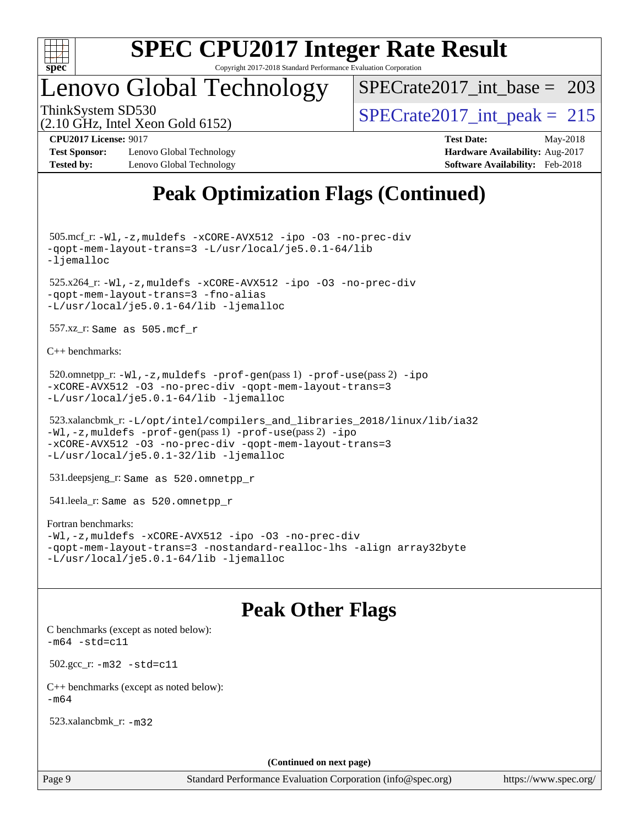

## Lenovo Global Technology

 $SPECrate2017\_int\_base = 203$ 

(2.10 GHz, Intel Xeon Gold 6152)

ThinkSystem SD530  $SPECrate2017\_int\_peak = 215$ 

**[CPU2017 License:](http://www.spec.org/auto/cpu2017/Docs/result-fields.html#CPU2017License)** 9017 **[Test Date:](http://www.spec.org/auto/cpu2017/Docs/result-fields.html#TestDate)** May-2018 **[Test Sponsor:](http://www.spec.org/auto/cpu2017/Docs/result-fields.html#TestSponsor)** Lenovo Global Technology **[Hardware Availability:](http://www.spec.org/auto/cpu2017/Docs/result-fields.html#HardwareAvailability)** Aug-2017

**[Tested by:](http://www.spec.org/auto/cpu2017/Docs/result-fields.html#Testedby)** Lenovo Global Technology **[Software Availability:](http://www.spec.org/auto/cpu2017/Docs/result-fields.html#SoftwareAvailability)** Feb-2018

## **[Peak Optimization Flags \(Continued\)](http://www.spec.org/auto/cpu2017/Docs/result-fields.html#PeakOptimizationFlags)**

 505.mcf\_r: [-Wl,-z,muldefs](http://www.spec.org/cpu2017/results/res2018q2/cpu2017-20180612-07034.flags.html#user_peakEXTRA_LDFLAGS505_mcf_r_link_force_multiple1_b4cbdb97b34bdee9ceefcfe54f4c8ea74255f0b02a4b23e853cdb0e18eb4525ac79b5a88067c842dd0ee6996c24547a27a4b99331201badda8798ef8a743f577) [-xCORE-AVX512](http://www.spec.org/cpu2017/results/res2018q2/cpu2017-20180612-07034.flags.html#user_peakCOPTIMIZE505_mcf_r_f-xCORE-AVX512) [-ipo](http://www.spec.org/cpu2017/results/res2018q2/cpu2017-20180612-07034.flags.html#user_peakCOPTIMIZE505_mcf_r_f-ipo) [-O3](http://www.spec.org/cpu2017/results/res2018q2/cpu2017-20180612-07034.flags.html#user_peakCOPTIMIZE505_mcf_r_f-O3) [-no-prec-div](http://www.spec.org/cpu2017/results/res2018q2/cpu2017-20180612-07034.flags.html#user_peakCOPTIMIZE505_mcf_r_f-no-prec-div) [-qopt-mem-layout-trans=3](http://www.spec.org/cpu2017/results/res2018q2/cpu2017-20180612-07034.flags.html#user_peakCOPTIMIZE505_mcf_r_f-qopt-mem-layout-trans_de80db37974c74b1f0e20d883f0b675c88c3b01e9d123adea9b28688d64333345fb62bc4a798493513fdb68f60282f9a726aa07f478b2f7113531aecce732043) [-L/usr/local/je5.0.1-64/lib](http://www.spec.org/cpu2017/results/res2018q2/cpu2017-20180612-07034.flags.html#user_peakEXTRA_LIBS505_mcf_r_jemalloc_link_path64_4b10a636b7bce113509b17f3bd0d6226c5fb2346b9178c2d0232c14f04ab830f976640479e5c33dc2bcbbdad86ecfb6634cbbd4418746f06f368b512fced5394) [-ljemalloc](http://www.spec.org/cpu2017/results/res2018q2/cpu2017-20180612-07034.flags.html#user_peakEXTRA_LIBS505_mcf_r_jemalloc_link_lib_d1249b907c500fa1c0672f44f562e3d0f79738ae9e3c4a9c376d49f265a04b9c99b167ecedbf6711b3085be911c67ff61f150a17b3472be731631ba4d0471706) 525.x264\_r: [-Wl,-z,muldefs](http://www.spec.org/cpu2017/results/res2018q2/cpu2017-20180612-07034.flags.html#user_peakEXTRA_LDFLAGS525_x264_r_link_force_multiple1_b4cbdb97b34bdee9ceefcfe54f4c8ea74255f0b02a4b23e853cdb0e18eb4525ac79b5a88067c842dd0ee6996c24547a27a4b99331201badda8798ef8a743f577) [-xCORE-AVX512](http://www.spec.org/cpu2017/results/res2018q2/cpu2017-20180612-07034.flags.html#user_peakCOPTIMIZE525_x264_r_f-xCORE-AVX512) [-ipo](http://www.spec.org/cpu2017/results/res2018q2/cpu2017-20180612-07034.flags.html#user_peakCOPTIMIZE525_x264_r_f-ipo) [-O3](http://www.spec.org/cpu2017/results/res2018q2/cpu2017-20180612-07034.flags.html#user_peakCOPTIMIZE525_x264_r_f-O3) [-no-prec-div](http://www.spec.org/cpu2017/results/res2018q2/cpu2017-20180612-07034.flags.html#user_peakCOPTIMIZE525_x264_r_f-no-prec-div) [-qopt-mem-layout-trans=3](http://www.spec.org/cpu2017/results/res2018q2/cpu2017-20180612-07034.flags.html#user_peakCOPTIMIZE525_x264_r_f-qopt-mem-layout-trans_de80db37974c74b1f0e20d883f0b675c88c3b01e9d123adea9b28688d64333345fb62bc4a798493513fdb68f60282f9a726aa07f478b2f7113531aecce732043) [-fno-alias](http://www.spec.org/cpu2017/results/res2018q2/cpu2017-20180612-07034.flags.html#user_peakEXTRA_OPTIMIZE525_x264_r_f-no-alias_77dbac10d91cbfe898fbf4a29d1b29b694089caa623bdd1baccc9957d4edbe8d106c0b357e2748a65b44fc9e83d78098bb898077f3fe92f9faf24f7bd4a07ed7) [-L/usr/local/je5.0.1-64/lib](http://www.spec.org/cpu2017/results/res2018q2/cpu2017-20180612-07034.flags.html#user_peakEXTRA_LIBS525_x264_r_jemalloc_link_path64_4b10a636b7bce113509b17f3bd0d6226c5fb2346b9178c2d0232c14f04ab830f976640479e5c33dc2bcbbdad86ecfb6634cbbd4418746f06f368b512fced5394) [-ljemalloc](http://www.spec.org/cpu2017/results/res2018q2/cpu2017-20180612-07034.flags.html#user_peakEXTRA_LIBS525_x264_r_jemalloc_link_lib_d1249b907c500fa1c0672f44f562e3d0f79738ae9e3c4a9c376d49f265a04b9c99b167ecedbf6711b3085be911c67ff61f150a17b3472be731631ba4d0471706) 557.xz\_r: Same as 505.mcf\_r [C++ benchmarks:](http://www.spec.org/auto/cpu2017/Docs/result-fields.html#CXXbenchmarks) 520.omnetpp\_r: [-Wl,-z,muldefs](http://www.spec.org/cpu2017/results/res2018q2/cpu2017-20180612-07034.flags.html#user_peakEXTRA_LDFLAGS520_omnetpp_r_link_force_multiple1_b4cbdb97b34bdee9ceefcfe54f4c8ea74255f0b02a4b23e853cdb0e18eb4525ac79b5a88067c842dd0ee6996c24547a27a4b99331201badda8798ef8a743f577) [-prof-gen](http://www.spec.org/cpu2017/results/res2018q2/cpu2017-20180612-07034.flags.html#user_peakPASS1_CXXFLAGSPASS1_LDFLAGS520_omnetpp_r_prof_gen_5aa4926d6013ddb2a31985c654b3eb18169fc0c6952a63635c234f711e6e63dd76e94ad52365559451ec499a2cdb89e4dc58ba4c67ef54ca681ffbe1461d6b36)(pass 1) [-prof-use](http://www.spec.org/cpu2017/results/res2018q2/cpu2017-20180612-07034.flags.html#user_peakPASS2_CXXFLAGSPASS2_LDFLAGS520_omnetpp_r_prof_use_1a21ceae95f36a2b53c25747139a6c16ca95bd9def2a207b4f0849963b97e94f5260e30a0c64f4bb623698870e679ca08317ef8150905d41bd88c6f78df73f19)(pass 2) [-ipo](http://www.spec.org/cpu2017/results/res2018q2/cpu2017-20180612-07034.flags.html#user_peakPASS1_CXXOPTIMIZEPASS2_CXXOPTIMIZE520_omnetpp_r_f-ipo) [-xCORE-AVX512](http://www.spec.org/cpu2017/results/res2018q2/cpu2017-20180612-07034.flags.html#user_peakPASS2_CXXOPTIMIZE520_omnetpp_r_f-xCORE-AVX512) [-O3](http://www.spec.org/cpu2017/results/res2018q2/cpu2017-20180612-07034.flags.html#user_peakPASS1_CXXOPTIMIZEPASS2_CXXOPTIMIZE520_omnetpp_r_f-O3) [-no-prec-div](http://www.spec.org/cpu2017/results/res2018q2/cpu2017-20180612-07034.flags.html#user_peakPASS1_CXXOPTIMIZEPASS2_CXXOPTIMIZE520_omnetpp_r_f-no-prec-div) [-qopt-mem-layout-trans=3](http://www.spec.org/cpu2017/results/res2018q2/cpu2017-20180612-07034.flags.html#user_peakPASS1_CXXOPTIMIZEPASS2_CXXOPTIMIZE520_omnetpp_r_f-qopt-mem-layout-trans_de80db37974c74b1f0e20d883f0b675c88c3b01e9d123adea9b28688d64333345fb62bc4a798493513fdb68f60282f9a726aa07f478b2f7113531aecce732043) [-L/usr/local/je5.0.1-64/lib](http://www.spec.org/cpu2017/results/res2018q2/cpu2017-20180612-07034.flags.html#user_peakEXTRA_LIBS520_omnetpp_r_jemalloc_link_path64_4b10a636b7bce113509b17f3bd0d6226c5fb2346b9178c2d0232c14f04ab830f976640479e5c33dc2bcbbdad86ecfb6634cbbd4418746f06f368b512fced5394) [-ljemalloc](http://www.spec.org/cpu2017/results/res2018q2/cpu2017-20180612-07034.flags.html#user_peakEXTRA_LIBS520_omnetpp_r_jemalloc_link_lib_d1249b907c500fa1c0672f44f562e3d0f79738ae9e3c4a9c376d49f265a04b9c99b167ecedbf6711b3085be911c67ff61f150a17b3472be731631ba4d0471706)

 523.xalancbmk\_r: [-L/opt/intel/compilers\\_and\\_libraries\\_2018/linux/lib/ia32](http://www.spec.org/cpu2017/results/res2018q2/cpu2017-20180612-07034.flags.html#user_peakCXXLD523_xalancbmk_r_Enable-32bit-runtime_af243bdb1d79e4c7a4f720bf8275e627de2ecd461de63307bc14cef0633fde3cd7bb2facb32dcc8be9566045fb55d40ce2b72b725f73827aa7833441b71b9343) [-Wl,-z,muldefs](http://www.spec.org/cpu2017/results/res2018q2/cpu2017-20180612-07034.flags.html#user_peakEXTRA_LDFLAGS523_xalancbmk_r_link_force_multiple1_b4cbdb97b34bdee9ceefcfe54f4c8ea74255f0b02a4b23e853cdb0e18eb4525ac79b5a88067c842dd0ee6996c24547a27a4b99331201badda8798ef8a743f577) [-prof-gen](http://www.spec.org/cpu2017/results/res2018q2/cpu2017-20180612-07034.flags.html#user_peakPASS1_CXXFLAGSPASS1_LDFLAGS523_xalancbmk_r_prof_gen_5aa4926d6013ddb2a31985c654b3eb18169fc0c6952a63635c234f711e6e63dd76e94ad52365559451ec499a2cdb89e4dc58ba4c67ef54ca681ffbe1461d6b36)(pass 1) [-prof-use](http://www.spec.org/cpu2017/results/res2018q2/cpu2017-20180612-07034.flags.html#user_peakPASS2_CXXFLAGSPASS2_LDFLAGS523_xalancbmk_r_prof_use_1a21ceae95f36a2b53c25747139a6c16ca95bd9def2a207b4f0849963b97e94f5260e30a0c64f4bb623698870e679ca08317ef8150905d41bd88c6f78df73f19)(pass 2) [-ipo](http://www.spec.org/cpu2017/results/res2018q2/cpu2017-20180612-07034.flags.html#user_peakPASS1_CXXOPTIMIZEPASS2_CXXOPTIMIZE523_xalancbmk_r_f-ipo) [-xCORE-AVX512](http://www.spec.org/cpu2017/results/res2018q2/cpu2017-20180612-07034.flags.html#user_peakPASS2_CXXOPTIMIZE523_xalancbmk_r_f-xCORE-AVX512) [-O3](http://www.spec.org/cpu2017/results/res2018q2/cpu2017-20180612-07034.flags.html#user_peakPASS1_CXXOPTIMIZEPASS2_CXXOPTIMIZE523_xalancbmk_r_f-O3) [-no-prec-div](http://www.spec.org/cpu2017/results/res2018q2/cpu2017-20180612-07034.flags.html#user_peakPASS1_CXXOPTIMIZEPASS2_CXXOPTIMIZE523_xalancbmk_r_f-no-prec-div) [-qopt-mem-layout-trans=3](http://www.spec.org/cpu2017/results/res2018q2/cpu2017-20180612-07034.flags.html#user_peakPASS1_CXXOPTIMIZEPASS2_CXXOPTIMIZE523_xalancbmk_r_f-qopt-mem-layout-trans_de80db37974c74b1f0e20d883f0b675c88c3b01e9d123adea9b28688d64333345fb62bc4a798493513fdb68f60282f9a726aa07f478b2f7113531aecce732043) [-L/usr/local/je5.0.1-32/lib](http://www.spec.org/cpu2017/results/res2018q2/cpu2017-20180612-07034.flags.html#user_peakEXTRA_LIBS523_xalancbmk_r_jemalloc_link_path32_e29f22e8e6c17053bbc6a0971f5a9c01a601a06bb1a59df2084b77a2fe0a2995b64fd4256feaeea39eeba3aae142e96e2b2b0a28974019c0c0c88139a84f900a) [-ljemalloc](http://www.spec.org/cpu2017/results/res2018q2/cpu2017-20180612-07034.flags.html#user_peakEXTRA_LIBS523_xalancbmk_r_jemalloc_link_lib_d1249b907c500fa1c0672f44f562e3d0f79738ae9e3c4a9c376d49f265a04b9c99b167ecedbf6711b3085be911c67ff61f150a17b3472be731631ba4d0471706)

531.deepsjeng\_r: Same as 520.omnetpp\_r

541.leela\_r: Same as 520.omnetpp\_r

#### [Fortran benchmarks](http://www.spec.org/auto/cpu2017/Docs/result-fields.html#Fortranbenchmarks):

[-Wl,-z,muldefs](http://www.spec.org/cpu2017/results/res2018q2/cpu2017-20180612-07034.flags.html#user_FCpeak_link_force_multiple1_b4cbdb97b34bdee9ceefcfe54f4c8ea74255f0b02a4b23e853cdb0e18eb4525ac79b5a88067c842dd0ee6996c24547a27a4b99331201badda8798ef8a743f577) [-xCORE-AVX512](http://www.spec.org/cpu2017/results/res2018q2/cpu2017-20180612-07034.flags.html#user_FCpeak_f-xCORE-AVX512) [-ipo](http://www.spec.org/cpu2017/results/res2018q2/cpu2017-20180612-07034.flags.html#user_FCpeak_f-ipo) [-O3](http://www.spec.org/cpu2017/results/res2018q2/cpu2017-20180612-07034.flags.html#user_FCpeak_f-O3) [-no-prec-div](http://www.spec.org/cpu2017/results/res2018q2/cpu2017-20180612-07034.flags.html#user_FCpeak_f-no-prec-div) [-qopt-mem-layout-trans=3](http://www.spec.org/cpu2017/results/res2018q2/cpu2017-20180612-07034.flags.html#user_FCpeak_f-qopt-mem-layout-trans_de80db37974c74b1f0e20d883f0b675c88c3b01e9d123adea9b28688d64333345fb62bc4a798493513fdb68f60282f9a726aa07f478b2f7113531aecce732043) [-nostandard-realloc-lhs](http://www.spec.org/cpu2017/results/res2018q2/cpu2017-20180612-07034.flags.html#user_FCpeak_f_2003_std_realloc_82b4557e90729c0f113870c07e44d33d6f5a304b4f63d4c15d2d0f1fab99f5daaed73bdb9275d9ae411527f28b936061aa8b9c8f2d63842963b95c9dd6426b8a) [-align array32byte](http://www.spec.org/cpu2017/results/res2018q2/cpu2017-20180612-07034.flags.html#user_FCpeak_align_array32byte_b982fe038af199962ba9a80c053b8342c548c85b40b8e86eb3cc33dee0d7986a4af373ac2d51c3f7cf710a18d62fdce2948f201cd044323541f22fc0fffc51b6) [-L/usr/local/je5.0.1-64/lib](http://www.spec.org/cpu2017/results/res2018q2/cpu2017-20180612-07034.flags.html#user_FCpeak_jemalloc_link_path64_4b10a636b7bce113509b17f3bd0d6226c5fb2346b9178c2d0232c14f04ab830f976640479e5c33dc2bcbbdad86ecfb6634cbbd4418746f06f368b512fced5394) [-ljemalloc](http://www.spec.org/cpu2017/results/res2018q2/cpu2017-20180612-07034.flags.html#user_FCpeak_jemalloc_link_lib_d1249b907c500fa1c0672f44f562e3d0f79738ae9e3c4a9c376d49f265a04b9c99b167ecedbf6711b3085be911c67ff61f150a17b3472be731631ba4d0471706)

### **[Peak Other Flags](http://www.spec.org/auto/cpu2017/Docs/result-fields.html#PeakOtherFlags)**

[C benchmarks \(except as noted below\)](http://www.spec.org/auto/cpu2017/Docs/result-fields.html#Cbenchmarksexceptasnotedbelow):  $-m64 - std= c11$  $-m64 - std= c11$  502.gcc\_r: [-m32](http://www.spec.org/cpu2017/results/res2018q2/cpu2017-20180612-07034.flags.html#user_peakCCLD502_gcc_r_intel_ia32_18.0_2666f1173eb60787016b673bfe1358e27016ef7649ea4884b7bc6187fd89dc221d14632e22638cde1c647a518de97358ab15d4ad098ee4e19a8b28d0c25e14bf) [-std=c11](http://www.spec.org/cpu2017/results/res2018q2/cpu2017-20180612-07034.flags.html#user_peakCCLD502_gcc_r_intel_compiler_c11_mode_0e1c27790398a4642dfca32ffe6c27b5796f9c2d2676156f2e42c9c44eaad0c049b1cdb667a270c34d979996257aeb8fc440bfb01818dbc9357bd9d174cb8524) [C++ benchmarks \(except as noted below\):](http://www.spec.org/auto/cpu2017/Docs/result-fields.html#CXXbenchmarksexceptasnotedbelow)  $-m64$ 

523.xalancbmk\_r: [-m32](http://www.spec.org/cpu2017/results/res2018q2/cpu2017-20180612-07034.flags.html#user_peakCXXLD523_xalancbmk_r_intel_ia32_18.0_2666f1173eb60787016b673bfe1358e27016ef7649ea4884b7bc6187fd89dc221d14632e22638cde1c647a518de97358ab15d4ad098ee4e19a8b28d0c25e14bf)

**(Continued on next page)**